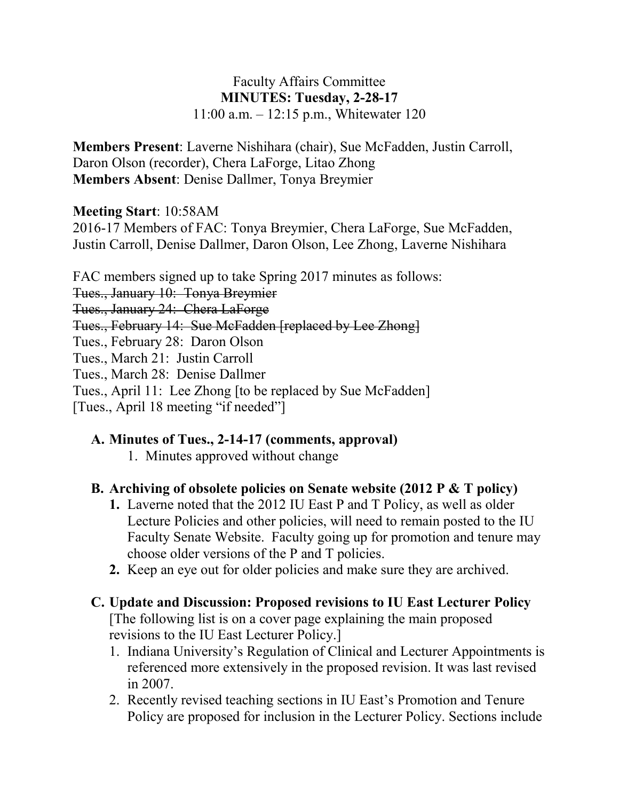#### Faculty Affairs Committee **MINUTES: Tuesday, 2-28-17** 11:00 a.m. – 12:15 p.m., Whitewater 120

**Members Present**: Laverne Nishihara (chair), Sue McFadden, Justin Carroll, Daron Olson (recorder), Chera LaForge, Litao Zhong **Members Absent**: Denise Dallmer, Tonya Breymier

### **Meeting Start**: 10:58AM

2016-17 Members of FAC: Tonya Breymier, Chera LaForge, Sue McFadden, Justin Carroll, Denise Dallmer, Daron Olson, Lee Zhong, Laverne Nishihara

FAC members signed up to take Spring 2017 minutes as follows: Tues., January 10: Tonya Breymier Tues., January 24: Chera LaForge Tues., February 14: Sue McFadden [replaced by Lee Zhong] Tues., February 28: Daron Olson Tues., March 21: Justin Carroll Tues., March 28: Denise Dallmer Tues., April 11: Lee Zhong [to be replaced by Sue McFadden] [Tues., April 18 meeting "if needed"]

## **A. Minutes of Tues., 2-14-17 (comments, approval)**

1. Minutes approved without change

### **B. Archiving of obsolete policies on Senate website (2012 P & T policy)**

- **1.** Laverne noted that the 2012 IU East P and T Policy, as well as older Lecture Policies and other policies, will need to remain posted to the IU Faculty Senate Website. Faculty going up for promotion and tenure may choose older versions of the P and T policies.
- **2.** Keep an eye out for older policies and make sure they are archived.

### **C. Update and Discussion: Proposed revisions to IU East Lecturer Policy**

[The following list is on a cover page explaining the main proposed revisions to the IU East Lecturer Policy.]

- 1. Indiana University's Regulation of Clinical and Lecturer Appointments is referenced more extensively in the proposed revision. It was last revised in 2007.
- 2. Recently revised teaching sections in IU East's Promotion and Tenure Policy are proposed for inclusion in the Lecturer Policy. Sections include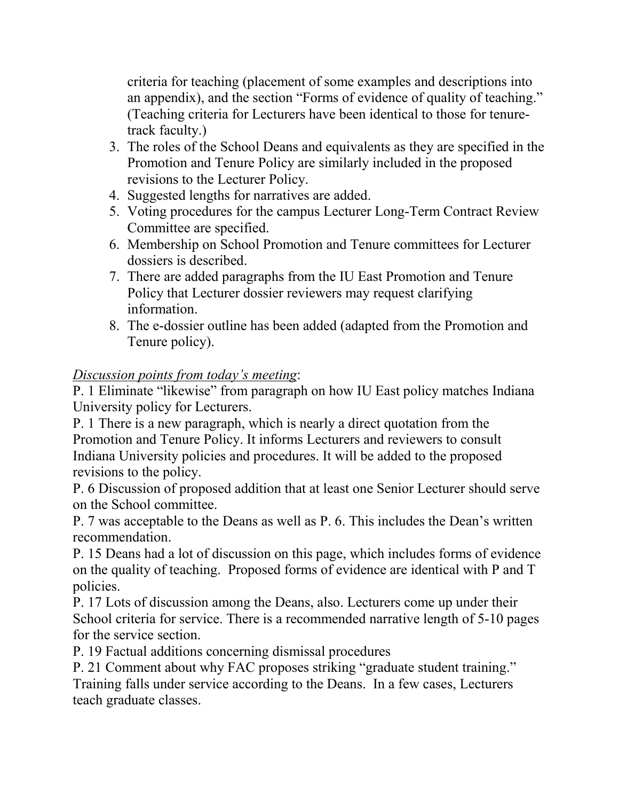criteria for teaching (placement of some examples and descriptions into an appendix), and the section "Forms of evidence of quality of teaching." (Teaching criteria for Lecturers have been identical to those for tenuretrack faculty.)

- 3. The roles of the School Deans and equivalents as they are specified in the Promotion and Tenure Policy are similarly included in the proposed revisions to the Lecturer Policy.
- 4. Suggested lengths for narratives are added.
- 5. Voting procedures for the campus Lecturer Long-Term Contract Review Committee are specified.
- 6. Membership on School Promotion and Tenure committees for Lecturer dossiers is described.
- 7. There are added paragraphs from the IU East Promotion and Tenure Policy that Lecturer dossier reviewers may request clarifying information.
- 8. The e-dossier outline has been added (adapted from the Promotion and Tenure policy).

# *Discussion points from today's meeting*:

P. 1 Eliminate "likewise" from paragraph on how IU East policy matches Indiana University policy for Lecturers.

P. 1 There is a new paragraph, which is nearly a direct quotation from the Promotion and Tenure Policy. It informs Lecturers and reviewers to consult Indiana University policies and procedures. It will be added to the proposed revisions to the policy.

P. 6 Discussion of proposed addition that at least one Senior Lecturer should serve on the School committee.

P. 7 was acceptable to the Deans as well as P. 6. This includes the Dean's written recommendation.

P. 15 Deans had a lot of discussion on this page, which includes forms of evidence on the quality of teaching. Proposed forms of evidence are identical with P and T policies.

P. 17 Lots of discussion among the Deans, also. Lecturers come up under their School criteria for service. There is a recommended narrative length of 5-10 pages for the service section.

P. 19 Factual additions concerning dismissal procedures

P. 21 Comment about why FAC proposes striking "graduate student training." Training falls under service according to the Deans. In a few cases, Lecturers teach graduate classes.